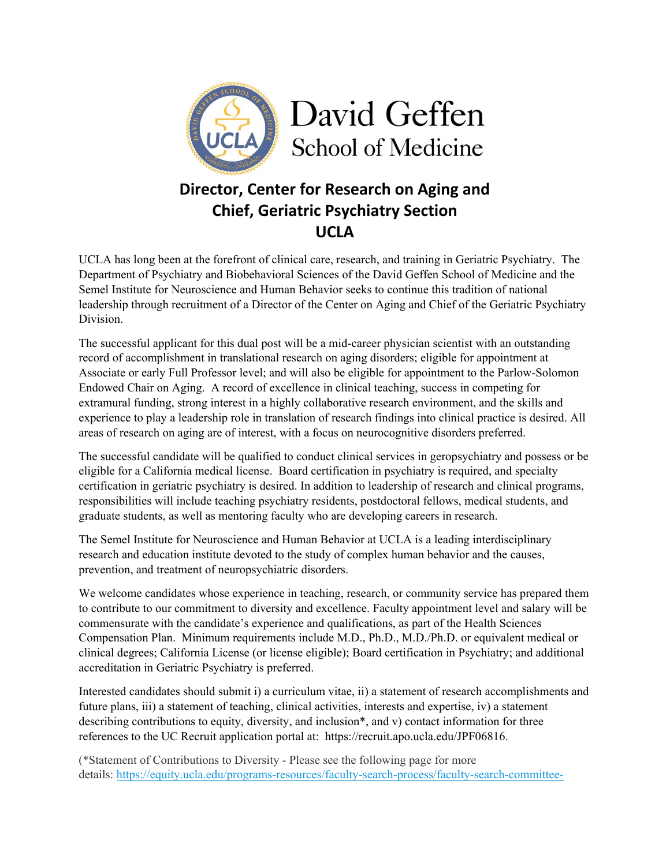

## **Director, Center for Research on Aging and Chief, Geriatric Psychiatry Section UCLA**

UCLA has long been at the forefront of clinical care, research, and training in Geriatric Psychiatry. The Department of Psychiatry and Biobehavioral Sciences of the David Geffen School of Medicine and the Semel Institute for Neuroscience and Human Behavior seeks to continue this tradition of national leadership through recruitment of a Director of the Center on Aging and Chief of the Geriatric Psychiatry Division.

The successful applicant for this dual post will be a mid-career physician scientist with an outstanding record of accomplishment in translational research on aging disorders; eligible for appointment at Associate or early Full Professor level; and will also be eligible for appointment to the Parlow-Solomon Endowed Chair on Aging. A record of excellence in clinical teaching, success in competing for extramural funding, strong interest in a highly collaborative research environment, and the skills and experience to play a leadership role in translation of research findings into clinical practice is desired. All areas of research on aging are of interest, with a focus on neurocognitive disorders preferred.

The successful candidate will be qualified to conduct clinical services in geropsychiatry and possess or be eligible for a California medical license. Board certification in psychiatry is required, and specialty certification in geriatric psychiatry is desired. In addition to leadership of research and clinical programs, responsibilities will include teaching psychiatry residents, postdoctoral fellows, medical students, and graduate students, as well as mentoring faculty who are developing careers in research.

The Semel Institute for Neuroscience and Human Behavior at UCLA is a leading interdisciplinary research and education institute devoted to the study of complex human behavior and the causes, prevention, and treatment of neuropsychiatric disorders.

We welcome candidates whose experience in teaching, research, or community service has prepared them to contribute to our commitment to diversity and excellence. Faculty appointment level and salary will be commensurate with the candidate's experience and qualifications, as part of the Health Sciences Compensation Plan. Minimum requirements include M.D., Ph.D., M.D./Ph.D. or equivalent medical or clinical degrees; California License (or license eligible); Board certification in Psychiatry; and additional accreditation in Geriatric Psychiatry is preferred.

Interested candidates should submit i) a curriculum vitae, ii) a statement of research accomplishments and future plans, iii) a statement of teaching, clinical activities, interests and expertise, iv) a statement describing contributions to equity, diversity, and inclusion\*, and v) contact information for three references to the UC Recruit application portal at: https://recruit.apo.ucla.edu/JPF06816.

(\*Statement of Contributions to Diversity - Please see the following page for more details: https://equity.ucla.edu/programs-resources/faculty-search-process/faculty-search-committee-